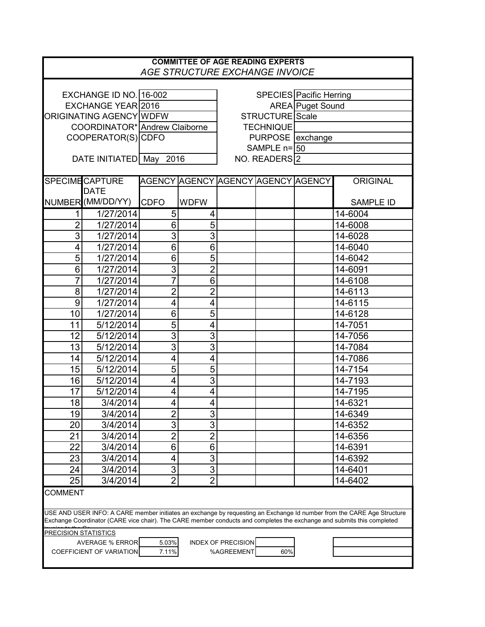| <b>COMMITTEE OF AGE READING EXPERTS</b><br>AGE STRUCTURE EXCHANGE INVOICE                                                                |                        |                               |                |                                    |  |                         |                  |  |  |  |
|------------------------------------------------------------------------------------------------------------------------------------------|------------------------|-------------------------------|----------------|------------------------------------|--|-------------------------|------------------|--|--|--|
|                                                                                                                                          |                        |                               |                |                                    |  |                         |                  |  |  |  |
| EXCHANGE ID NO. 16-002                                                                                                                   |                        |                               |                |                                    |  | SPECIES Pacific Herring |                  |  |  |  |
| EXCHANGE YEAR 2016                                                                                                                       |                        |                               |                |                                    |  | AREA Puget Sound        |                  |  |  |  |
| ORIGINATING AGENCY WDFW                                                                                                                  |                        |                               |                | STRUCTURE Scale                    |  |                         |                  |  |  |  |
|                                                                                                                                          |                        | COORDINATOR* Andrew Claiborne |                | <b>TECHNIQUE</b>                   |  |                         |                  |  |  |  |
| COOPERATOR(S) CDFO                                                                                                                       |                        |                               |                | PURPOSE   exchange                 |  |                         |                  |  |  |  |
|                                                                                                                                          |                        |                               |                | SAMPLE $n = 50$                    |  |                         |                  |  |  |  |
|                                                                                                                                          | DATE INITIATED May     | 2016                          |                | NO. READERS <sup>2</sup>           |  |                         |                  |  |  |  |
|                                                                                                                                          |                        |                               |                |                                    |  |                         |                  |  |  |  |
|                                                                                                                                          | <b>SPECIME CAPTURE</b> |                               |                | AGENCY AGENCY AGENCY AGENCY AGENCY |  |                         | <b>ORIGINAL</b>  |  |  |  |
|                                                                                                                                          | <b>DATE</b>            |                               |                |                                    |  |                         |                  |  |  |  |
|                                                                                                                                          | NUMBER (MM/DD/YY)      | <b>CDFO</b>                   | <b>WDFW</b>    |                                    |  |                         | <b>SAMPLE ID</b> |  |  |  |
| 1                                                                                                                                        | 1/27/2014              | 5                             | 4              |                                    |  |                         | 14-6004          |  |  |  |
| $\overline{2}$                                                                                                                           | 1/27/2014              | 6                             | 5              |                                    |  |                         | 14-6008          |  |  |  |
| 3                                                                                                                                        | 1/27/2014              | 3                             | $\overline{3}$ |                                    |  |                         | 14-6028          |  |  |  |
| 4                                                                                                                                        | 1/27/2014              | $\overline{6}$                | $\overline{6}$ |                                    |  |                         | 14-6040          |  |  |  |
| 5                                                                                                                                        | 1/27/2014              | 6                             | 5              |                                    |  |                         | 14-6042          |  |  |  |
| 6                                                                                                                                        | 1/27/2014              | $\overline{3}$                | $\overline{2}$ |                                    |  |                         | 14-6091          |  |  |  |
| 7                                                                                                                                        | 1/27/2014              | $\overline{7}$                | $\overline{6}$ |                                    |  |                         | 14-6108          |  |  |  |
| 8                                                                                                                                        | 1/27/2014              | $\overline{c}$                | $\overline{2}$ |                                    |  |                         | 14-6113          |  |  |  |
| 9                                                                                                                                        | 1/27/2014              | $\overline{4}$                | $\overline{4}$ |                                    |  |                         | 14-6115          |  |  |  |
| 10                                                                                                                                       | 1/27/2014              | 6                             | $\overline{5}$ |                                    |  |                         | 14-6128          |  |  |  |
| 11                                                                                                                                       | 5/12/2014              | 5                             | 4              |                                    |  |                         | 14-7051          |  |  |  |
| 12                                                                                                                                       | 5/12/2014              | $\overline{3}$                | $\overline{3}$ |                                    |  |                         | 14-7056          |  |  |  |
| 13                                                                                                                                       | 5/12/2014              | $\overline{3}$                | $\overline{3}$ |                                    |  |                         | 14-7084          |  |  |  |
| 14                                                                                                                                       | 5/12/2014              | 4                             | 4              |                                    |  |                         | 14-7086          |  |  |  |
| 15                                                                                                                                       | 5/12/2014              | $\overline{5}$                | $\overline{5}$ |                                    |  |                         | 14-7154          |  |  |  |
| 16                                                                                                                                       | 5/12/2014              | 4                             | $\overline{3}$ |                                    |  |                         | 14-7193          |  |  |  |
| 17                                                                                                                                       | 5/12/2014              | 4                             | 4              |                                    |  |                         | 14-7195          |  |  |  |
| 18                                                                                                                                       | 3/4/2014               | 4                             | 4              |                                    |  |                         | 14-6321          |  |  |  |
| 19                                                                                                                                       | 3/4/2014               | $\overline{2}$                | 3              |                                    |  |                         | 14-6349          |  |  |  |
| 20                                                                                                                                       | 3/4/2014               | $\overline{3}$                | $\overline{3}$ |                                    |  |                         | 14-6352          |  |  |  |
|                                                                                                                                          |                        |                               |                |                                    |  |                         |                  |  |  |  |
| 21                                                                                                                                       | 3/4/2014               | $\overline{2}$                | $\overline{2}$ |                                    |  |                         | 14-6356          |  |  |  |
| 22                                                                                                                                       | 3/4/2014               | $6\phantom{1}6$               | 6              |                                    |  |                         | 14-6391          |  |  |  |
| 23                                                                                                                                       | 3/4/2014               | 4                             | 3              |                                    |  |                         | 14-6392          |  |  |  |
| 24                                                                                                                                       | 3/4/2014               | $\ensuremath{\mathsf{3}}$     | $\overline{3}$ |                                    |  |                         | 14-6401          |  |  |  |
| 25                                                                                                                                       | 3/4/2014               | $\overline{2}$                | $\overline{2}$ |                                    |  |                         | 14-6402          |  |  |  |
| <b>COMMENT</b><br>USE AND USER INFO: A CARE member initiates an exchange by requesting an Exchange Id number from the CARE Age Structure |                        |                               |                |                                    |  |                         |                  |  |  |  |
| Exchange Coordinator (CARE vice chair). The CARE member conducts and completes the exchange and submits this completed                   |                        |                               |                |                                    |  |                         |                  |  |  |  |
| PRECISION STATISTICS                                                                                                                     |                        |                               |                |                                    |  |                         |                  |  |  |  |
| <b>AVERAGE % ERROR</b><br><b>INDEX OF PRECISION</b><br>5.03%                                                                             |                        |                               |                |                                    |  |                         |                  |  |  |  |
| <b>COEFFICIENT OF VARIATION</b><br>7.11%<br>%AGREEMENT<br>60%                                                                            |                        |                               |                |                                    |  |                         |                  |  |  |  |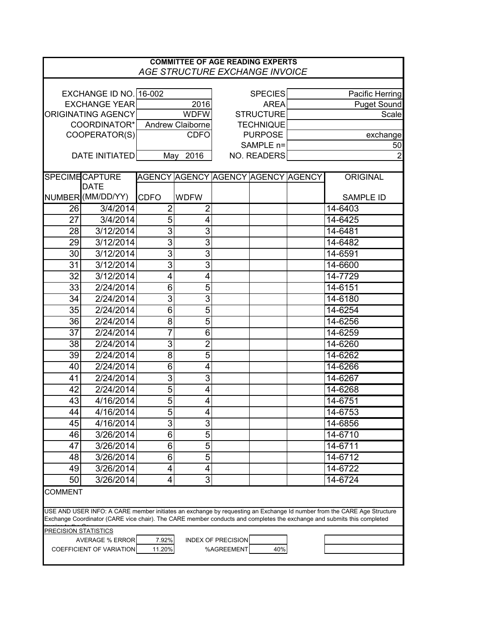| <b>COMMITTEE OF AGE READING EXPERTS</b><br>AGE STRUCTURE EXCHANGE INVOICE                                                                                                                                                                        |                        |                  |                |                                    |  |                    |                  |  |  |  |  |
|--------------------------------------------------------------------------------------------------------------------------------------------------------------------------------------------------------------------------------------------------|------------------------|------------------|----------------|------------------------------------|--|--------------------|------------------|--|--|--|--|
|                                                                                                                                                                                                                                                  |                        |                  |                |                                    |  |                    |                  |  |  |  |  |
|                                                                                                                                                                                                                                                  | EXCHANGE ID NO. 16-002 |                  |                | <b>SPECIES</b>                     |  | Pacific Herring    |                  |  |  |  |  |
| <b>EXCHANGE YEAR</b>                                                                                                                                                                                                                             |                        | 2016             |                | <b>AREA</b>                        |  | <b>Puget Sound</b> |                  |  |  |  |  |
| <b>ORIGINATING AGENCY</b>                                                                                                                                                                                                                        |                        | <b>WDFW</b>      |                | <b>STRUCTURE</b>                   |  | Scale              |                  |  |  |  |  |
| COORDINATOR*                                                                                                                                                                                                                                     |                        | Andrew Claiborne |                | <b>TECHNIQUE</b>                   |  |                    |                  |  |  |  |  |
| COOPERATOR(S)                                                                                                                                                                                                                                    |                        | <b>CDFO</b>      |                | <b>PURPOSE</b>                     |  | exchange           |                  |  |  |  |  |
|                                                                                                                                                                                                                                                  |                        |                  |                | SAMPLE n=                          |  | 50                 |                  |  |  |  |  |
| <b>DATE INITIATED</b>                                                                                                                                                                                                                            |                        | May<br>2016      |                | NO. READERS                        |  | $\overline{2}$     |                  |  |  |  |  |
|                                                                                                                                                                                                                                                  | <b>SPECIME CAPTURE</b> |                  |                | AGENCY AGENCY AGENCY AGENCY AGENCY |  |                    | <b>ORIGINAL</b>  |  |  |  |  |
|                                                                                                                                                                                                                                                  | <b>DATE</b>            |                  |                |                                    |  |                    |                  |  |  |  |  |
|                                                                                                                                                                                                                                                  | NUMBER (MM/DD/YY)      | <b>CDFO</b>      | <b>WDFW</b>    |                                    |  |                    | <b>SAMPLE ID</b> |  |  |  |  |
| 26                                                                                                                                                                                                                                               | 3/4/2014               | 2                | 2              |                                    |  |                    | 14-6403          |  |  |  |  |
| 27                                                                                                                                                                                                                                               | 3/4/2014               | 5                | 4              |                                    |  |                    | 14-6425          |  |  |  |  |
| 28                                                                                                                                                                                                                                               | 3/12/2014              | $\overline{3}$   | $\overline{3}$ |                                    |  |                    | 14-6481          |  |  |  |  |
| 29                                                                                                                                                                                                                                               | 3/12/2014              | $\overline{3}$   | $\overline{3}$ |                                    |  |                    | 14-6482          |  |  |  |  |
| 30                                                                                                                                                                                                                                               | 3/12/2014              | $\overline{3}$   | $\overline{3}$ |                                    |  |                    | 14-6591          |  |  |  |  |
| 31                                                                                                                                                                                                                                               | 3/12/2014              | $\overline{3}$   | $\overline{3}$ |                                    |  |                    | 14-6600          |  |  |  |  |
| 32                                                                                                                                                                                                                                               | 3/12/2014              | $\overline{4}$   | 4              |                                    |  |                    | 14-7729          |  |  |  |  |
| 33                                                                                                                                                                                                                                               | 2/24/2014              | 6                | $\overline{5}$ |                                    |  |                    | 14-6151          |  |  |  |  |
| 34                                                                                                                                                                                                                                               | 2/24/2014              | $\overline{3}$   | $\overline{3}$ |                                    |  |                    | 14-6180          |  |  |  |  |
| 35                                                                                                                                                                                                                                               | 2/24/2014              | $\overline{6}$   | $\overline{5}$ |                                    |  |                    | 14-6254          |  |  |  |  |
| $\overline{36}$                                                                                                                                                                                                                                  | 2/24/2014              | $\overline{8}$   | 5              |                                    |  |                    | 14-6256          |  |  |  |  |
| 37                                                                                                                                                                                                                                               | 2/24/2014              | 7                | $\overline{6}$ |                                    |  |                    | 14-6259          |  |  |  |  |
| 38                                                                                                                                                                                                                                               | 2/24/2014              | $\overline{3}$   | $\overline{2}$ |                                    |  |                    | 14-6260          |  |  |  |  |
| 39                                                                                                                                                                                                                                               | 2/24/2014              | $\overline{8}$   | $\overline{5}$ |                                    |  |                    | 14-6262          |  |  |  |  |
| 40                                                                                                                                                                                                                                               | 2/24/2014              | $\overline{6}$   | 4              |                                    |  |                    | 14-6266          |  |  |  |  |
| 41                                                                                                                                                                                                                                               | 2/24/2014              | $\overline{3}$   | $\overline{3}$ |                                    |  |                    | 14-6267          |  |  |  |  |
| 42                                                                                                                                                                                                                                               | 2/24/2014              | $\overline{5}$   | 4              |                                    |  |                    | 14-6268          |  |  |  |  |
| 43                                                                                                                                                                                                                                               | 4/16/2014              | 5                | 4              |                                    |  |                    | 14-6751          |  |  |  |  |
| 44                                                                                                                                                                                                                                               | 4/16/2014              | 5                | 4              |                                    |  |                    | 14-6753          |  |  |  |  |
| 45                                                                                                                                                                                                                                               | 4/16/2014              | $\overline{3}$   | 3              |                                    |  |                    | 14-6856          |  |  |  |  |
| 46                                                                                                                                                                                                                                               | 3/26/2014              | 6                | $\overline{5}$ |                                    |  |                    | 14-6710          |  |  |  |  |
| 47                                                                                                                                                                                                                                               | 3/26/2014              | 6                | $\overline{5}$ |                                    |  |                    | 14-6711          |  |  |  |  |
| 48                                                                                                                                                                                                                                               | 3/26/2014              | 6                | $\overline{5}$ |                                    |  |                    | 14-6712          |  |  |  |  |
| 49                                                                                                                                                                                                                                               | 3/26/2014              | 4                | 4              |                                    |  |                    | 14-6722          |  |  |  |  |
| 50                                                                                                                                                                                                                                               | 3/26/2014              | 4                | 3              |                                    |  |                    | 14-6724          |  |  |  |  |
| <b>COMMENT</b>                                                                                                                                                                                                                                   |                        |                  |                |                                    |  |                    |                  |  |  |  |  |
| USE AND USER INFO: A CARE member initiates an exchange by requesting an Exchange Id number from the CARE Age Structure<br>Exchange Coordinator (CARE vice chair). The CARE member conducts and completes the exchange and submits this completed |                        |                  |                |                                    |  |                    |                  |  |  |  |  |
| <b>PRECISION STATISTICS</b>                                                                                                                                                                                                                      |                        |                  |                |                                    |  |                    |                  |  |  |  |  |
| <b>AVERAGE % ERROR</b><br>7.92%<br><b>INDEX OF PRECISION</b>                                                                                                                                                                                     |                        |                  |                |                                    |  |                    |                  |  |  |  |  |
| %AGREEMENT<br>40%<br><b>COEFFICIENT OF VARIATION</b><br>11.20%                                                                                                                                                                                   |                        |                  |                |                                    |  |                    |                  |  |  |  |  |